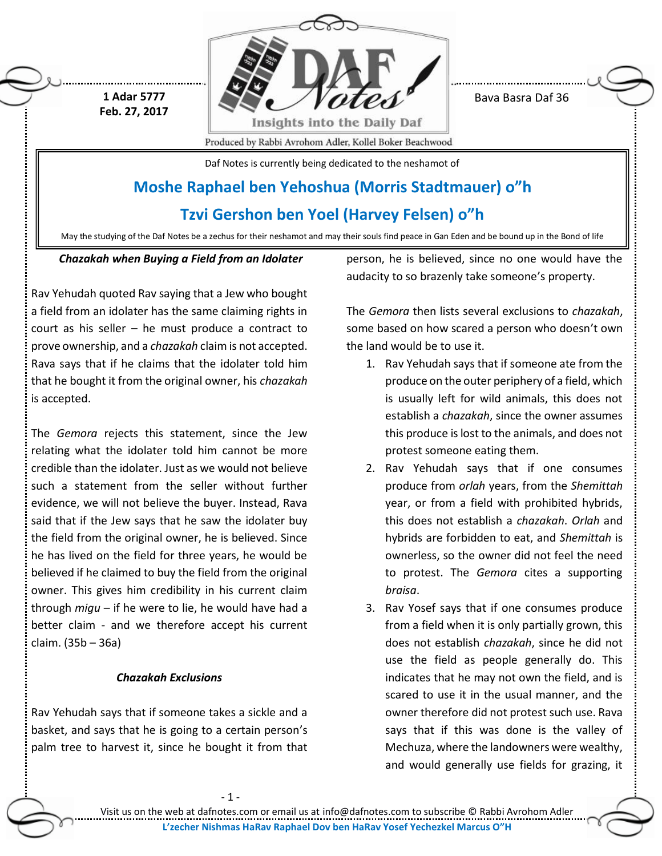

Bava Basra Daf 36

Produced by Rabbi Avrohom Adler, Kollel Boker Beachwood

Daf Notes is currently being dedicated to the neshamot of

# **Moshe Raphael ben Yehoshua (Morris Stadtmauer) o"h**

# **Tzvi Gershon ben Yoel (Harvey Felsen) o"h**

May the studying of the Daf Notes be a zechus for their neshamot and may their souls find peace in Gan Eden and be bound up in the Bond of life

# *Chazakah when Buying a Field from an Idolater*

**1 Adar 5777 Feb. 27, 2017**

Rav Yehudah quoted Rav saying that a Jew who bought a field from an idolater has the same claiming rights in court as his seller – he must produce a contract to prove ownership, and a *chazakah* claim is not accepted. Rava says that if he claims that the idolater told him that he bought it from the original owner, his *chazakah* is accepted.

The *Gemora* rejects this statement, since the Jew relating what the idolater told him cannot be more credible than the idolater. Just as we would not believe such a statement from the seller without further evidence, we will not believe the buyer. Instead, Rava said that if the Jew says that he saw the idolater buy the field from the original owner, he is believed. Since he has lived on the field for three years, he would be believed if he claimed to buy the field from the original owner. This gives him credibility in his current claim through *migu* – if he were to lie, he would have had a better claim - and we therefore accept his current claim. (35b – 36a)

# *Chazakah Exclusions*

Rav Yehudah says that if someone takes a sickle and a basket, and says that he is going to a certain person's palm tree to harvest it, since he bought it from that person, he is believed, since no one would have the audacity to so brazenly take someone's property.

The *Gemora* then lists several exclusions to *chazakah*, some based on how scared a person who doesn't own the land would be to use it.

- 1. Rav Yehudah says that if someone ate from the produce on the outer periphery of a field, which is usually left for wild animals, this does not establish a *chazakah*, since the owner assumes this produce is lost to the animals, and does not protest someone eating them.
- 2. Rav Yehudah says that if one consumes produce from *orlah* years, from the *Shemittah* year, or from a field with prohibited hybrids, this does not establish a *chazakah*. *Orlah* and hybrids are forbidden to eat, and *Shemittah* is ownerless, so the owner did not feel the need to protest. The *Gemora* cites a supporting *braisa*.
- 3. Rav Yosef says that if one consumes produce from a field when it is only partially grown, this does not establish *chazakah*, since he did not use the field as people generally do. This indicates that he may not own the field, and is scared to use it in the usual manner, and the owner therefore did not protest such use. Rava says that if this was done is the valley of Mechuza, where the landowners were wealthy, and would generally use fields for grazing, it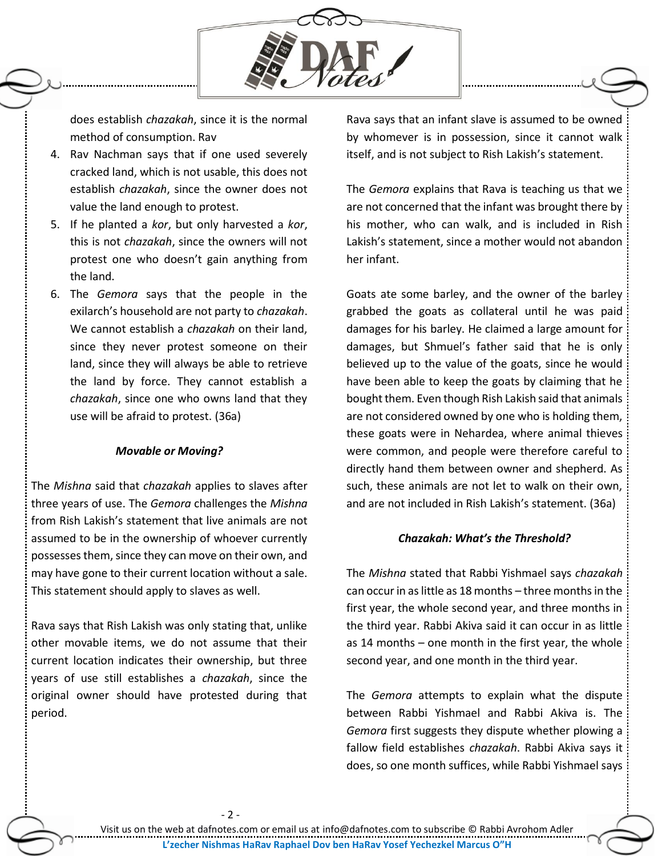

does establish *chazakah*, since it is the normal method of consumption. Rav

- 4. Rav Nachman says that if one used severely cracked land, which is not usable, this does not establish *chazakah*, since the owner does not value the land enough to protest.
- 5. If he planted a *kor*, but only harvested a *kor*, this is not *chazakah*, since the owners will not protest one who doesn't gain anything from the land.
- 6. The *Gemora* says that the people in the exilarch's household are not party to *chazakah*. We cannot establish a *chazakah* on their land, since they never protest someone on their land, since they will always be able to retrieve the land by force. They cannot establish a *chazakah*, since one who owns land that they use will be afraid to protest. (36a)

#### *Movable or Moving?*

The *Mishna* said that *chazakah* applies to slaves after three years of use. The *Gemora* challenges the *Mishna* from Rish Lakish's statement that live animals are not assumed to be in the ownership of whoever currently possesses them, since they can move on their own, and may have gone to their current location without a sale. This statement should apply to slaves as well.

Rava says that Rish Lakish was only stating that, unlike other movable items, we do not assume that their current location indicates their ownership, but three years of use still establishes a *chazakah*, since the original owner should have protested during that period.

- 2 -

Rava says that an infant slave is assumed to be owned by whomever is in possession, since it cannot walk itself, and is not subject to Rish Lakish's statement.

The *Gemora* explains that Rava is teaching us that we are not concerned that the infant was brought there by his mother, who can walk, and is included in Rish Lakish's statement, since a mother would not abandon her infant.

Goats ate some barley, and the owner of the barley grabbed the goats as collateral until he was paid damages for his barley. He claimed a large amount for damages, but Shmuel's father said that he is only believed up to the value of the goats, since he would have been able to keep the goats by claiming that he bought them. Even though Rish Lakish said that animals are not considered owned by one who is holding them, these goats were in Nehardea, where animal thieves were common, and people were therefore careful to directly hand them between owner and shepherd. As such, these animals are not let to walk on their own, and are not included in Rish Lakish's statement. (36a)

## *Chazakah: What's the Threshold?*

The *Mishna* stated that Rabbi Yishmael says *chazakah* can occur in as little as 18 months – three months in the first year, the whole second year, and three months in the third year. Rabbi Akiva said it can occur in as little as 14 months – one month in the first year, the whole second year, and one month in the third year.

The *Gemora* attempts to explain what the dispute between Rabbi Yishmael and Rabbi Akiva is. The *Gemora* first suggests they dispute whether plowing a fallow field establishes *chazakah*. Rabbi Akiva says it does, so one month suffices, while Rabbi Yishmael says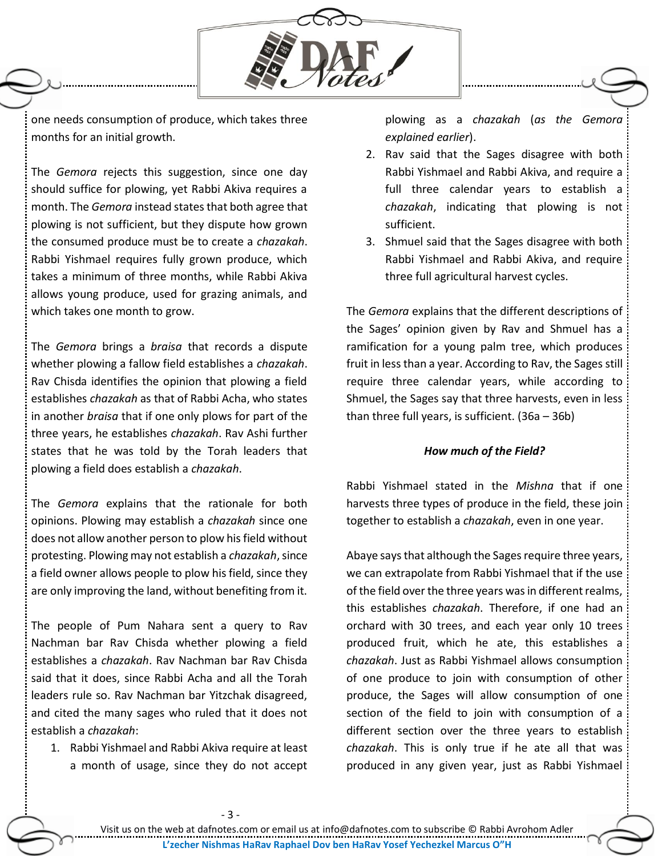

one needs consumption of produce, which takes three months for an initial growth.

The *Gemora* rejects this suggestion, since one day should suffice for plowing, yet Rabbi Akiva requires a month. The *Gemora* instead states that both agree that plowing is not sufficient, but they dispute how grown the consumed produce must be to create a *chazakah*. Rabbi Yishmael requires fully grown produce, which takes a minimum of three months, while Rabbi Akiva allows young produce, used for grazing animals, and which takes one month to grow.

The *Gemora* brings a *braisa* that records a dispute whether plowing a fallow field establishes a *chazakah*. Rav Chisda identifies the opinion that plowing a field establishes *chazakah* as that of Rabbi Acha, who states in another *braisa* that if one only plows for part of the three years, he establishes *chazakah*. Rav Ashi further states that he was told by the Torah leaders that plowing a field does establish a *chazakah*.

The *Gemora* explains that the rationale for both opinions. Plowing may establish a *chazakah* since one does not allow another person to plow his field without protesting. Plowing may not establish a *chazakah*, since a field owner allows people to plow his field, since they are only improving the land, without benefiting from it.

The people of Pum Nahara sent a query to Rav Nachman bar Rav Chisda whether plowing a field establishes a *chazakah*. Rav Nachman bar Rav Chisda said that it does, since Rabbi Acha and all the Torah leaders rule so. Rav Nachman bar Yitzchak disagreed, and cited the many sages who ruled that it does not establish a *chazakah*:

1. Rabbi Yishmael and Rabbi Akiva require at least a month of usage, since they do not accept

plowing as a *chazakah* (*as the Gemora explained earlier*).

- 2. Rav said that the Sages disagree with both Rabbi Yishmael and Rabbi Akiva, and require a full three calendar years to establish a *chazakah*, indicating that plowing is not sufficient.
- 3. Shmuel said that the Sages disagree with both Rabbi Yishmael and Rabbi Akiva, and require three full agricultural harvest cycles.

The *Gemora* explains that the different descriptions of the Sages' opinion given by Rav and Shmuel has a ramification for a young palm tree, which produces fruit in less than a year. According to Rav, the Sages still require three calendar years, while according to Shmuel, the Sages say that three harvests, even in less than three full years, is sufficient. (36a – 36b)

## *How much of the Field?*

Rabbi Yishmael stated in the *Mishna* that if one harvests three types of produce in the field, these join together to establish a *chazakah*, even in one year.

Abaye says that although the Sages require three years, we can extrapolate from Rabbi Yishmael that if the use of the field over the three years was in different realms, this establishes *chazakah*. Therefore, if one had an orchard with 30 trees, and each year only 10 trees produced fruit, which he ate, this establishes a *chazakah*. Just as Rabbi Yishmael allows consumption of one produce to join with consumption of other produce, the Sages will allow consumption of one section of the field to join with consumption of a different section over the three years to establish *chazakah*. This is only true if he ate all that was produced in any given year, just as Rabbi Yishmael